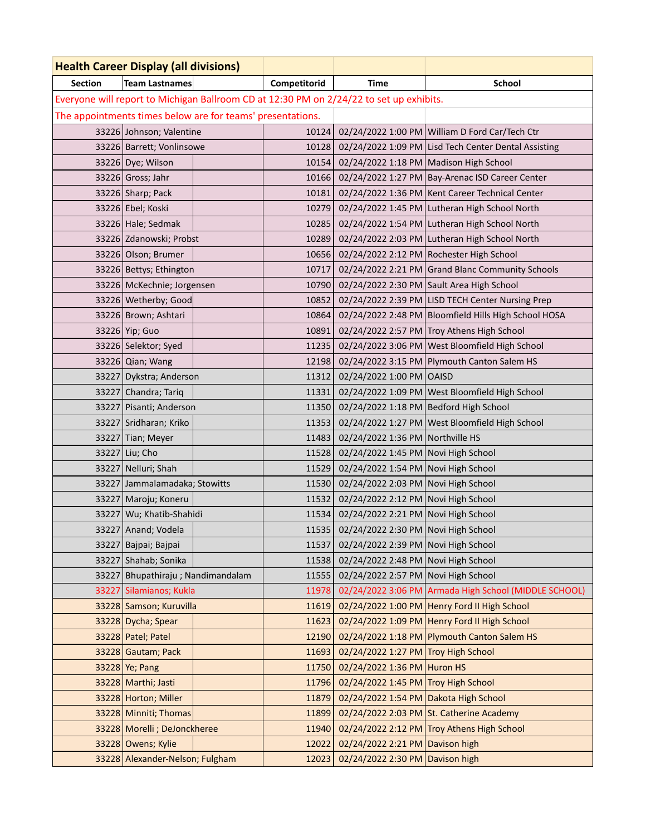| <b>Health Career Display (all divisions)</b>                                            |                                 |  |              |                                             |                                                       |  |  |  |  |  |
|-----------------------------------------------------------------------------------------|---------------------------------|--|--------------|---------------------------------------------|-------------------------------------------------------|--|--|--|--|--|
| Section<br><b>Team Lastnames</b>                                                        |                                 |  | Competitorid | <b>Time</b>                                 | School                                                |  |  |  |  |  |
| Everyone will report to Michigan Ballroom CD at 12:30 PM on 2/24/22 to set up exhibits. |                                 |  |              |                                             |                                                       |  |  |  |  |  |
| The appointments times below are for teams' presentations.                              |                                 |  |              |                                             |                                                       |  |  |  |  |  |
|                                                                                         | 33226 Johnson; Valentine        |  |              |                                             | 10124 02/24/2022 1:00 PM William D Ford Car/Tech Ctr  |  |  |  |  |  |
|                                                                                         | 33226   Barrett; Vonlinsowe     |  | 10128        |                                             | 02/24/2022 1:09 PM Lisd Tech Center Dental Assisting  |  |  |  |  |  |
|                                                                                         | 33226 Dye; Wilson               |  | 10154        | 02/24/2022 1:18 PM   Madison High School    |                                                       |  |  |  |  |  |
|                                                                                         | 33226 Gross; Jahr               |  | 10166        |                                             | 02/24/2022 1:27 PM   Bay-Arenac ISD Career Center     |  |  |  |  |  |
|                                                                                         | $33226$ Sharp; Pack             |  | 10181        |                                             | 02/24/2022 1:36 PM Kent Career Technical Center       |  |  |  |  |  |
|                                                                                         | 33226 Ebel; Koski               |  | 10279        |                                             | 02/24/2022 1:45 PM Lutheran High School North         |  |  |  |  |  |
|                                                                                         | 33226 Hale; Sedmak              |  | 10285        |                                             | 02/24/2022 1:54 PM Lutheran High School North         |  |  |  |  |  |
|                                                                                         | 33226 Zdanowski; Probst         |  | 10289        |                                             | 02/24/2022 2:03 PM Lutheran High School North         |  |  |  |  |  |
|                                                                                         | 33226 Olson; Brumer             |  | 10656        |                                             | 02/24/2022 2:12 PM Rochester High School              |  |  |  |  |  |
|                                                                                         | 33226 Bettys; Ethington         |  | 10717        |                                             | 02/24/2022 2:21 PM Grand Blanc Community Schools      |  |  |  |  |  |
|                                                                                         | 33226   McKechnie; Jorgensen    |  | 10790        |                                             | 02/24/2022 2:30 PM Sault Area High School             |  |  |  |  |  |
|                                                                                         | 33226 Wetherby; Good            |  | 10852        |                                             | 02/24/2022 2:39 PM LISD TECH Center Nursing Prep      |  |  |  |  |  |
|                                                                                         | 33226 Brown; Ashtari            |  | 10864        |                                             | 02/24/2022 2:48 PM Bloomfield Hills High School HOSA  |  |  |  |  |  |
|                                                                                         | 33226 Yip; Guo                  |  | 10891        |                                             | 02/24/2022 2:57 PM Troy Athens High School            |  |  |  |  |  |
|                                                                                         | 33226 Selektor; Syed            |  | 11235        |                                             | 02/24/2022 3:06 PM West Bloomfield High School        |  |  |  |  |  |
|                                                                                         | 33226 Qian; Wang                |  | 12198        |                                             | 02/24/2022 3:15 PM Plymouth Canton Salem HS           |  |  |  |  |  |
| 33227                                                                                   | Dykstra; Anderson               |  | 11312        | 02/24/2022 1:00 PM OAISD                    |                                                       |  |  |  |  |  |
| 33227                                                                                   | Chandra; Tariq                  |  | 11331        |                                             | 02/24/2022 1:09 PM West Bloomfield High School        |  |  |  |  |  |
| 33227                                                                                   | Pisanti; Anderson               |  | 11350        | 02/24/2022 1:18 PM   Bedford High School    |                                                       |  |  |  |  |  |
|                                                                                         | 33227 Sridharan; Kriko          |  | 11353        |                                             | 02/24/2022 1:27 PM West Bloomfield High School        |  |  |  |  |  |
|                                                                                         | 33227 Tian; Meyer               |  | 11483        | 02/24/2022 1:36 PM Northville HS            |                                                       |  |  |  |  |  |
| 33227                                                                                   | Liu; Cho                        |  | 11528        | 02/24/2022 1:45 PM Novi High School         |                                                       |  |  |  |  |  |
|                                                                                         | 33227 Nelluri; Shah             |  | 11529        | 02/24/2022 1:54 PM Novi High School         |                                                       |  |  |  |  |  |
| 33227                                                                                   | Jammalamadaka; Stowitts         |  | 11530        | 02/24/2022 2:03 PM Novi High School         |                                                       |  |  |  |  |  |
|                                                                                         | 33227 Maroju; Koneru            |  |              | 11532 02/24/2022 2:12 PM Novi High School   |                                                       |  |  |  |  |  |
|                                                                                         | 33227 Wu; Khatib-Shahidi        |  | 11534        | 02/24/2022 2:21 PM Novi High School         |                                                       |  |  |  |  |  |
|                                                                                         | 33227 Anand; Vodela             |  |              | 11535   02/24/2022 2:30 PM Novi High School |                                                       |  |  |  |  |  |
|                                                                                         | 33227   Bajpai; Bajpai          |  | 11537        | 02/24/2022 2:39 PM Novi High School         |                                                       |  |  |  |  |  |
| 33227                                                                                   | Shahab; Sonika                  |  | 11538        | 02/24/2022 2:48 PM Novi High School         |                                                       |  |  |  |  |  |
| 33227                                                                                   | Bhupathiraju; Nandimandalam     |  | 11555        | 02/24/2022 2:57 PM Novi High School         |                                                       |  |  |  |  |  |
| 33227                                                                                   | Silamianos; Kukla               |  | 11978        |                                             | 02/24/2022 3:06 PM Armada High School (MIDDLE SCHOOL) |  |  |  |  |  |
|                                                                                         | 33228 Samson; Kuruvilla         |  | 11619        |                                             | 02/24/2022 1:00 PM Henry Ford II High School          |  |  |  |  |  |
|                                                                                         | 33228 Dycha; Spear              |  | 11623        |                                             | 02/24/2022 1:09 PM Henry Ford II High School          |  |  |  |  |  |
|                                                                                         | 33228 Patel; Patel              |  | 12190        |                                             | 02/24/2022 1:18 PM Plymouth Canton Salem HS           |  |  |  |  |  |
|                                                                                         | 33228 Gautam; Pack              |  | 11693        | 02/24/2022 1:27 PM Troy High School         |                                                       |  |  |  |  |  |
|                                                                                         | $33228$ Ye; Pang                |  | 11750        | 02/24/2022 1:36 PM Huron HS                 |                                                       |  |  |  |  |  |
|                                                                                         | 33228 Marthi; Jasti             |  | 11796        | 02/24/2022 1:45 PM Troy High School         |                                                       |  |  |  |  |  |
|                                                                                         | 33228 Horton; Miller            |  | 11879        | 02/24/2022 1:54 PM Dakota High School       |                                                       |  |  |  |  |  |
|                                                                                         | 33228 Minniti; Thomas           |  | 11899        |                                             | 02/24/2022 2:03 PM St. Catherine Academy              |  |  |  |  |  |
|                                                                                         | 33228 Morelli ; DeJonckheree    |  | 11940        |                                             | 02/24/2022 2:12 PM Troy Athens High School            |  |  |  |  |  |
|                                                                                         | 33228 Owens; Kylie              |  | 12022        | 02/24/2022 2:21 PM Davison high             |                                                       |  |  |  |  |  |
|                                                                                         | 33228 Alexander-Nelson; Fulgham |  | 12023        | 02/24/2022 2:30 PM Davison high             |                                                       |  |  |  |  |  |